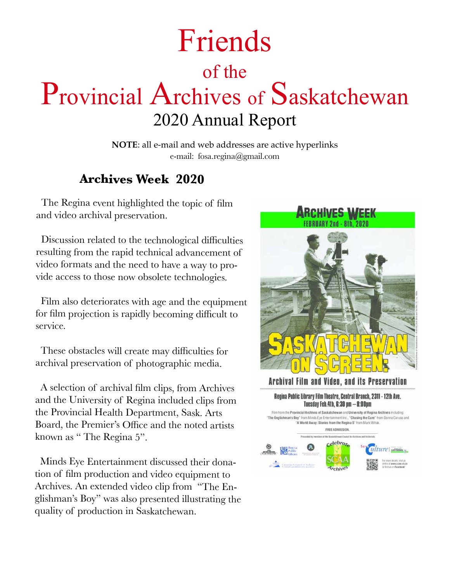# Friends of the Provincial Archives of Saskatchewan 2020 Annual Report

**NOTE**: all e-mail and web addresses are active hyperlinks e-mail: fosa.regina@gmail.com

### **Archives Week 2020**

 The Regina event highlighted the topic of film and video archival preservation.

 Discussion related to the technological difficulties resulting from the rapid technical advancement of video formats and the need to have a way to provide access to those now obsolete technologies.

 Film also deteriorates with age and the equipment for film projection is rapidly becoming difficult to service.

 These obstacles will create may difficulties for archival preservation of <sup>p</sup>hotographic media.

 A selection of archival film clips, from Archives and the University of Regina included clips from the Provincial Health Department, Sask. Arts Board, the Premier's Office and the noted artists known as " The Regina 5".

 Minds Eye Entertainment discussed their donation of film production and video equipment to Archives. An extended video clip from "The En<sup>g</sup>lishman's Boy" was also presented illustrating the quality of production in Saskatchewan.



#### Archival Film and Video, and its Preservation

Regina Public Library Film Theatre, Central Branch, 2311 - 12th Ave. Tuesday Feb.4th, 6:30 pm - 8:00pm

Film from the Provincial Archives of Saskatchewan and University of Regina Archives including: "The Englishman's Boy" from Minds Eye Entertainment Inc., "Chasing the Cure" from Donna Caruso and "A World Away: Stories from the Regina 5" from Mark Whak. FREE ADMISSION asted by resoluter of the Santantin an Council In a Archives and Art Celebrate  $\mathbf{A}$ ulture | Loirisoin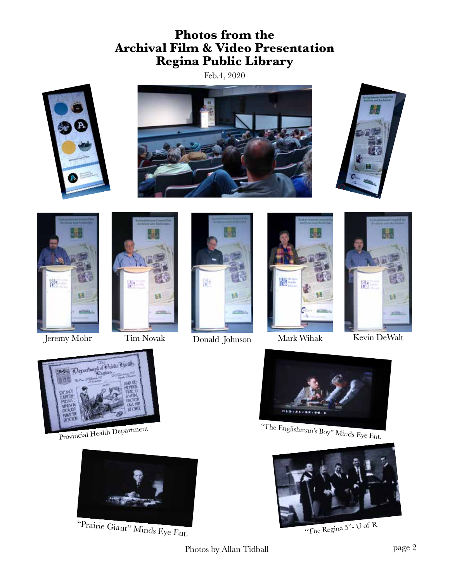### **Photos from the Archival Film & Video Presentation Regina Public Library**

Feb.4, 2020













Jeremy Mohr Tim Novak Donald Johnson Mark Wihak Kevin DeWalt







Provincial Health Department



"Prairie Giant" Minds Eye Ent.



"The Englishman's Boy" Minds Eye Ent.



"The Regina 5"- U of R

Photos by Allan Tidball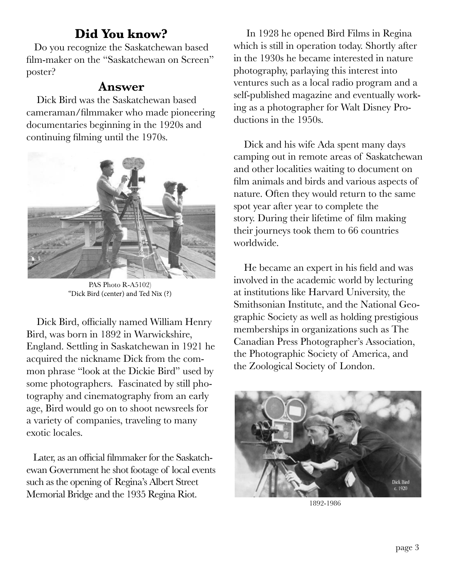### **Did You know?**

 Do you recognize the Saskatchewan based film-maker on the "Saskatchewan on Screen" poster?

### **Answer**

 Dick Bird was the Saskatchewan based cameraman/filmmaker who made pioneering documentaries beginning in the 1920s and continuing filming until the 1970s.



PAS Photo R-A5102) "Dick Bird (center) and Ted Nix (?)

 Dick Bird, officially named William Henry Bird, was born in 1892 in Warwickshire, England. Settling in Saskatchewan in 1921 he acquired the nickname Dick from the common phrase "look at the Dickie Bird" used by some photographers. Fascinated by still photography and cinematography from an early age, Bird would go on to shoot newsreels for a variety of companies, traveling to many exotic locales.

 Later, as an official filmmaker for the Saskatchewan Government he shot footage of local events such as the opening of Regina's Albert Street Memorial Bridge and the 1935 Regina Riot.

 In 1928 he opened Bird Films in Regina which is still in operation today. Shortly after in the 1930s he became interested in nature photography, parlaying this interest into ventures such as a local radio program and a self-published magazine and eventually working as a photographer for Walt Disney Productions in the 1950s.

 Dick and his wife Ada spent many days camping out in remote areas of Saskatchewan and other localities waiting to document on film animals and birds and various aspects of nature. Often they would return to the same spot year after year to complete the story. During their lifetime of film making their journeys took them to 66 countries worldwide.

 He became an expert in his field and was involved in the academic world by lecturing at institutions like Harvard University, the Smithsonian Institute, and the National Geographic Society as well as holding prestigious memberships in organizations such as The Canadian Press Photographer's Association, the Photographic Society of America, and the Zoological Society of London.



1892-1986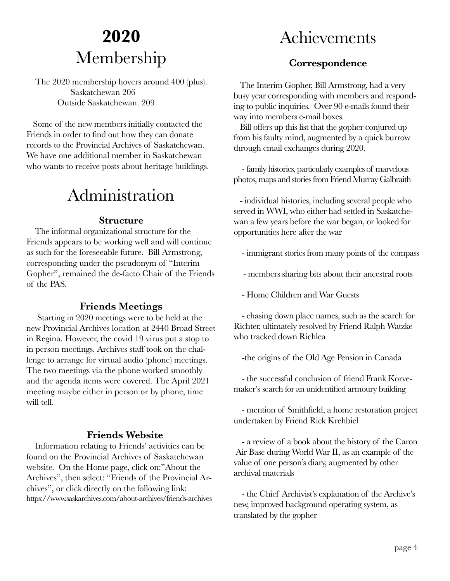## **2020** Membership

 The 2020 membership hovers around 400 (plus). Saskatchewan 206 Outside Saskatchewan. 209

 Some of the new members initially contacted the Friends in order to find out how they can donate records to the Provincial Archives of Saskatchewan. We have one additional member in Saskatchewan who wants to receive posts about heritage buildings.

## Administration

#### **Structure**

 The informal organizational structure for the Friends appears to be working well and will continue as such for the foreseeable future. Bill Armstrong, corresponding under the pseudonym of "Interim Gopher", remained the de-facto Chair of the Friends of the PAS.

#### **Friends Meetings**

 Starting in 2020 meetings were to be held at the new Provincial Archives location at 2440 Broad Street in Regina. However, the covid 19 virus put a stop to in person meetings. Archives staff took on the challenge to arrange for virtual audio (phone) meetings. The two meetings via the phone worked smoothly and the agenda items were covered. The April 2021 meeting maybe either in person or by phone, time will tell.

#### **Friends Website**

 Information relating to Friends' activities can be found on the Provincial Archives of Saskatchewan website. On the Home page, click on:"About the Archives", then select: "Friends of the Provincial Archives", or click directly on the following link: https://www.saskarchives.com/about-archives/friends-archives

## Achievements

#### **Correspondence**

 The Interim Gopher, Bill Armstrong, had a very busy year corresponding with members and responding to public inquiries. Over 90 e-mails found their way into members e-mail boxes.

 Bill offers up this list that the gopher conjured up from his faulty mind, augmented by a quick burrow through email exchanges during 2020.

 - family histories, particularly examples of marvelous photos, maps and stories from Friend Murray Galbraith

 - individual histories, including several people who served in WWI, who either had settled in Saskatchewan a few years before the war began, or looked for opportunities here after the war

- immigrant stories from many points of the compass

- members sharing bits about their ancestral roots

- Home Children and War Guests

 - chasing down place names, such as the search for Richter, ultimately resolved by Friend Ralph Watzke who tracked down Richlea

-the origins of the Old Age Pension in Canada

 - the successful conclusion of friend Frank Korvemaker's search for an unidentified armoury building

 - mention of Smithfield, a home restoration project undertaken by Friend Rick Krehbiel

 - a review of a book about the history of the Caron Air Base during World War II, as an example of the value of one person's diary, augmented by other archival materials

 - the Chief Archivist's explanation of the Archive's new, improved background operating system, as translated by the gopher